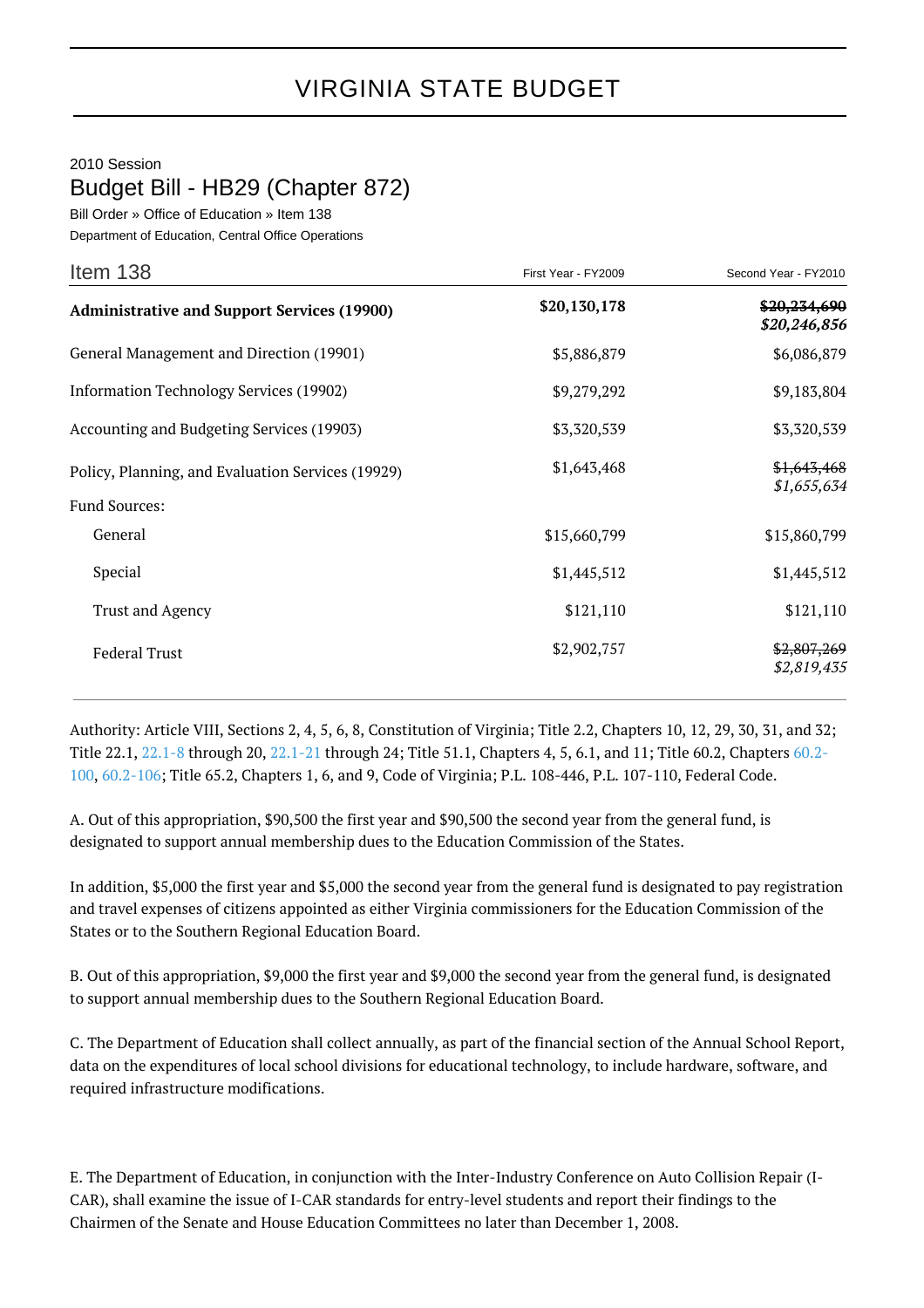2010 Session

Budget Bill - HB29 (Chapter 872)

Bill Order » Office of Education » Item 138

Department of Education, Central Office Operations

| Item 138                                                           | First Year - FY2009 | Second Year - FY2010         |
|--------------------------------------------------------------------|---------------------|------------------------------|
| <b>Administrative and Support Services (19900)</b>                 | \$20,130,178        | \$20,234,690<br>\$20,246,856 |
| General Management and Direction (19901)                           | \$5,886,879         | \$6,086,879                  |
| Information Technology Services (19902)                            | \$9,279,292         | \$9,183,804                  |
| Accounting and Budgeting Services (19903)                          | \$3,320,539         | \$3,320,539                  |
| Policy, Planning, and Evaluation Services (19929)<br>Fund Sources: | \$1,643,468         | \$1,643,468<br>\$1,655,634   |
| General                                                            | \$15,660,799        | \$15,860,799                 |
| Special                                                            | \$1,445,512         | \$1,445,512                  |
| <b>Trust and Agency</b>                                            | \$121,110           | \$121,110                    |
| <b>Federal Trust</b>                                               | \$2,902,757         | \$2,807,269<br>\$2,819,435   |

Authority: Article VIII, Sections 2, 4, 5, 6, 8, Constitution of Virginia; Title 2.2, Chapters 10, 12, 29, 30, 31, and 32; Title 22.1, [22.1-8](http://law.lis.virginia.gov/vacode/22.1-8/) through 20, [22.1-21](http://law.lis.virginia.gov/vacode/22.1-21/) through 24; Title 51.1, Chapters 4, 5, 6.1, and 11; Title 60.2, Chapters [60.2-](http://law.lis.virginia.gov/vacode/60.2-100/) [100,](http://law.lis.virginia.gov/vacode/60.2-100/) [60.2-106;](http://law.lis.virginia.gov/vacode/60.2-106/) Title 65.2, Chapters 1, 6, and 9, Code of Virginia; P.L. 108-446, P.L. 107-110, Federal Code.

A. Out of this appropriation, \$90,500 the first year and \$90,500 the second year from the general fund, is designated to support annual membership dues to the Education Commission of the States.

In addition, \$5,000 the first year and \$5,000 the second year from the general fund is designated to pay registration and travel expenses of citizens appointed as either Virginia commissioners for the Education Commission of the States or to the Southern Regional Education Board.

B. Out of this appropriation, \$9,000 the first year and \$9,000 the second year from the general fund, is designated to support annual membership dues to the Southern Regional Education Board.

C. The Department of Education shall collect annually, as part of the financial section of the Annual School Report, data on the expenditures of local school divisions for educational technology, to include hardware, software, and required infrastructure modifications.

E. The Department of Education, in conjunction with the Inter-Industry Conference on Auto Collision Repair (I-CAR), shall examine the issue of I-CAR standards for entry-level students and report their findings to the Chairmen of the Senate and House Education Committees no later than December 1, 2008.